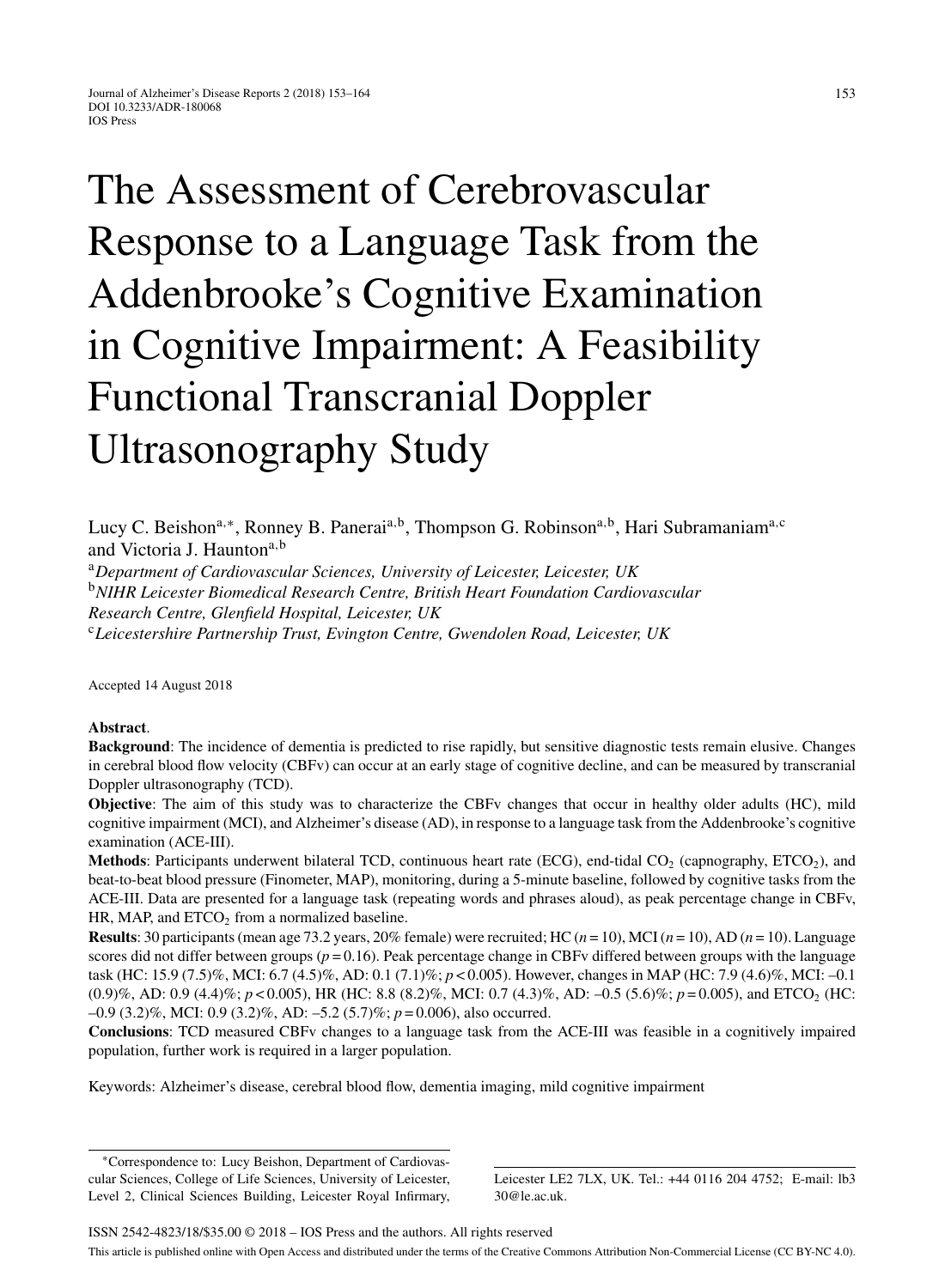The Assessment of Cerebrovascular Response to a Language Task from the Addenbrooke's Cognitive Examination in Cognitive Impairment: A Feasibility Functional Transcranial Doppler Ultrasonography Study

Lucy C. Beishon<sup>a,∗</sup>, Ronney B. Panerai<sup>a,b</sup>, Thompson G. Robinson<sup>a,b</sup>, Hari Subramaniam<sup>a,c</sup> and Victoria J. Haunton<sup>a,b</sup>

<sup>a</sup>*Department of Cardiovascular Sciences, University of Leicester, Leicester, UK* <sup>b</sup>*NIHR Leicester Biomedical Research Centre, British Heart Foundation Cardiovascular Research Centre, Glenfield Hospital, Leicester, UK*

<sup>c</sup>*Leicestershire Partnership Trust, Evington Centre, Gwendolen Road, Leicester, UK*

Accepted 14 August 2018

### **Abstract**.

**Background**: The incidence of dementia is predicted to rise rapidly, but sensitive diagnostic tests remain elusive. Changes in cerebral blood flow velocity (CBFv) can occur at an early stage of cognitive decline, and can be measured by transcranial Doppler ultrasonography (TCD).

**Objective**: The aim of this study was to characterize the CBFv changes that occur in healthy older adults (HC), mild cognitive impairment (MCI), and Alzheimer's disease (AD), in response to a language task from the Addenbrooke's cognitive examination (ACE-III).

**Methods**: Participants underwent bilateral TCD, continuous heart rate (ECG), end-tidal CO<sub>2</sub> (capnography, ETCO<sub>2</sub>), and beat-to-beat blood pressure (Finometer, MAP), monitoring, during a 5-minute baseline, followed by cognitive tasks from the ACE-III. Data are presented for a language task (repeating words and phrases aloud), as peak percentage change in CBFv, HR, MAP, and ETCO<sub>2</sub> from a normalized baseline.

**Results**: 30 participants (mean age 73.2 years, 20% female) were recruited; HC ( $n = 10$ ), MCI ( $n = 10$ ), AD ( $n = 10$ ). Language scores did not differ between groups  $(p = 0.16)$ . Peak percentage change in CBFv differed between groups with the language task (HC: 15.9 (7.5)%, MCI: 6.7 (4.5)%, AD: 0.1 (7.1)%; *p* < 0.005). However, changes in MAP (HC: 7.9 (4.6)%, MCI: –0.1 (0.9)%, AD: 0.9 (4.4)%; *p* < 0.005), HR (HC: 8.8 (8.2)%, MCI: 0.7 (4.3)%, AD: –0.5 (5.6)%; *p* = 0.005), and ETCO2 (HC: –0.9 (3.2)%, MCI: 0.9 (3.2)%, AD: –5.2 (5.7)%; *p* = 0.006), also occurred.

**Conclusions**: TCD measured CBFv changes to a language task from the ACE-III was feasible in a cognitively impaired population, further work is required in a larger population.

Keywords: Alzheimer's disease, cerebral blood flow, dementia imaging, mild cognitive impairment

∗Correspondence to: Lucy Beishon, Department of Cardiovascular Sciences, College of Life Sciences, University of Leicester, Level 2, Clinical Sciences Building, Leicester Royal Infirmary,

Leicester LE2 7LX, UK. Tel.: +44 0116 204 4752; E-mail: [lb3](mailto:lb3{penalty -@M }30@le.ac.uk) 30@le.ac.uk.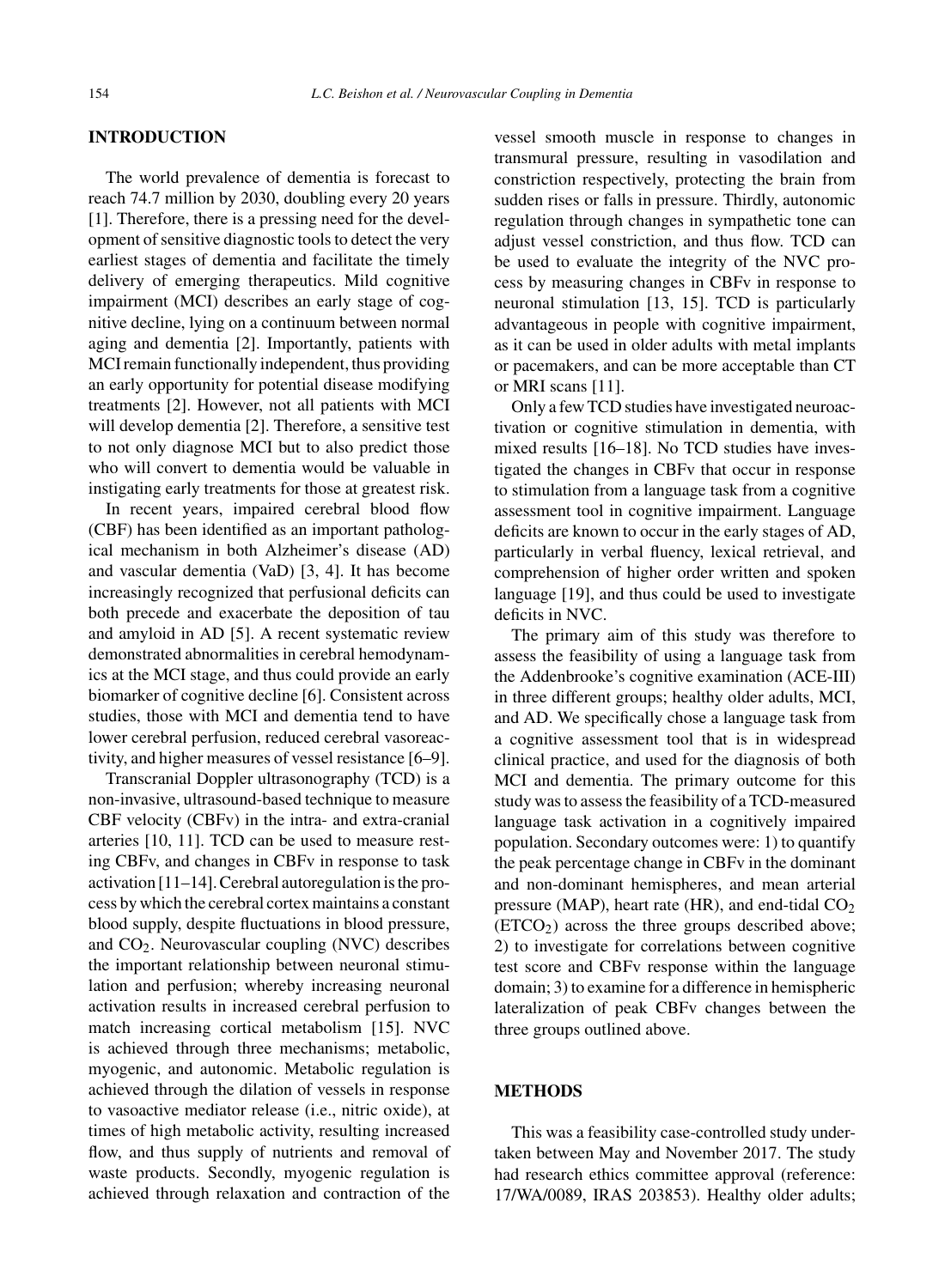### **INTRODUCTION**

The world prevalence of dementia is forecast to reach 74.7 million by 2030, doubling every 20 years [1]. Therefore, there is a pressing need for the development of sensitive diagnostic tools to detect the very earliest stages of dementia and facilitate the timely delivery of emerging therapeutics. Mild cognitive impairment (MCI) describes an early stage of cognitive decline, lying on a continuum between normal aging and dementia [2]. Importantly, patients with MCI remain functionally independent, thus providing an early opportunity for potential disease modifying treatments [2]. However, not all patients with MCI will develop dementia [2]. Therefore, a sensitive test to not only diagnose MCI but to also predict those who will convert to dementia would be valuable in instigating early treatments for those at greatest risk.

In recent years, impaired cerebral blood flow (CBF) has been identified as an important pathological mechanism in both Alzheimer's disease (AD) and vascular dementia (VaD) [3, 4]. It has become increasingly recognized that perfusional deficits can both precede and exacerbate the deposition of tau and amyloid in AD [5]. A recent systematic review demonstrated abnormalities in cerebral hemodynamics at the MCI stage, and thus could provide an early biomarker of cognitive decline [6]. Consistent across studies, those with MCI and dementia tend to have lower cerebral perfusion, reduced cerebral vasoreactivity, and higher measures of vessel resistance [6–9].

Transcranial Doppler ultrasonography (TCD) is a non-invasive, ultrasound-based technique to measure CBF velocity (CBFv) in the intra- and extra-cranial arteries [10, 11]. TCD can be used to measure resting CBFv, and changes in CBFv in response to task activation [11–14]. Cerebral autoregulation is the process by which the cerebral cortex maintains a constant blood supply, despite fluctuations in blood pressure, and CO2. Neurovascular coupling (NVC) describes the important relationship between neuronal stimulation and perfusion; whereby increasing neuronal activation results in increased cerebral perfusion to match increasing cortical metabolism [15]. NVC is achieved through three mechanisms; metabolic, myogenic, and autonomic. Metabolic regulation is achieved through the dilation of vessels in response to vasoactive mediator release (i.e., nitric oxide), at times of high metabolic activity, resulting increased flow, and thus supply of nutrients and removal of waste products. Secondly, myogenic regulation is achieved through relaxation and contraction of the

vessel smooth muscle in response to changes in transmural pressure, resulting in vasodilation and constriction respectively, protecting the brain from sudden rises or falls in pressure. Thirdly, autonomic regulation through changes in sympathetic tone can adjust vessel constriction, and thus flow. TCD can be used to evaluate the integrity of the NVC process by measuring changes in CBFv in response to neuronal stimulation [13, 15]. TCD is particularly advantageous in people with cognitive impairment, as it can be used in older adults with metal implants or pacemakers, and can be more acceptable than CT or MRI scans [11].

Only a few TCD studies have investigated neuroactivation or cognitive stimulation in dementia, with mixed results [16–18]. No TCD studies have investigated the changes in CBFv that occur in response to stimulation from a language task from a cognitive assessment tool in cognitive impairment. Language deficits are known to occur in the early stages of AD, particularly in verbal fluency, lexical retrieval, and comprehension of higher order written and spoken language [19], and thus could be used to investigate deficits in NVC.

The primary aim of this study was therefore to assess the feasibility of using a language task from the Addenbrooke's cognitive examination (ACE-III) in three different groups; healthy older adults, MCI, and AD. We specifically chose a language task from a cognitive assessment tool that is in widespread clinical practice, and used for the diagnosis of both MCI and dementia. The primary outcome for this study was to assess the feasibility of a TCD-measured language task activation in a cognitively impaired population. Secondary outcomes were: 1) to quantify the peak percentage change in CBFv in the dominant and non-dominant hemispheres, and mean arterial pressure (MAP), heart rate (HR), and end-tidal  $CO<sub>2</sub>$ (ETCO2) across the three groups described above; 2) to investigate for correlations between cognitive test score and CBFv response within the language domain; 3) to examine for a difference in hemispheric lateralization of peak CBFv changes between the three groups outlined above.

### **METHODS**

This was a feasibility case-controlled study undertaken between May and November 2017. The study had research ethics committee approval (reference: 17/WA/0089, IRAS 203853). Healthy older adults;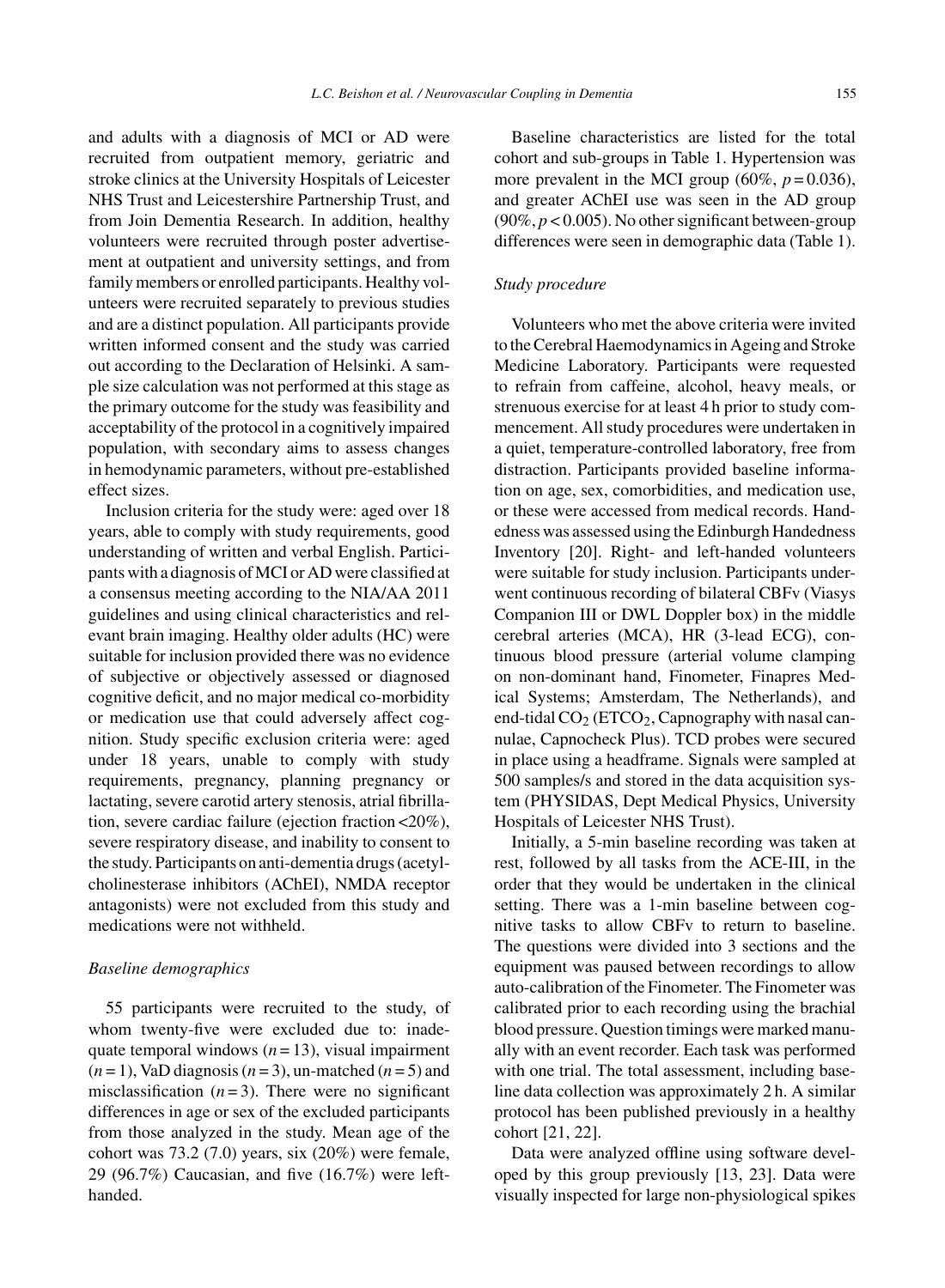and adults with a diagnosis of MCI or AD were recruited from outpatient memory, geriatric and stroke clinics at the University Hospitals of Leicester NHS Trust and Leicestershire Partnership Trust, and from Join Dementia Research. In addition, healthy volunteers were recruited through poster advertisement at outpatient and university settings, and from family members or enrolled participants. Healthy volunteers were recruited separately to previous studies and are a distinct population. All participants provide written informed consent and the study was carried out according to the Declaration of Helsinki. A sample size calculation was not performed at this stage as the primary outcome for the study was feasibility and acceptability of the protocol in a cognitively impaired population, with secondary aims to assess changes in hemodynamic parameters, without pre-established effect sizes.

Inclusion criteria for the study were: aged over 18 years, able to comply with study requirements, good understanding of written and verbal English. Participants with a diagnosis of MCI or AD were classified at a consensus meeting according to the NIA/AA 2011 guidelines and using clinical characteristics and relevant brain imaging. Healthy older adults (HC) were suitable for inclusion provided there was no evidence of subjective or objectively assessed or diagnosed cognitive deficit, and no major medical co-morbidity or medication use that could adversely affect cognition. Study specific exclusion criteria were: aged under 18 years, unable to comply with study requirements, pregnancy, planning pregnancy or lactating, severe carotid artery stenosis, atrial fibrillation, severe cardiac failure (ejection fraction <20%), severe respiratory disease, and inability to consent to the study. Participants on anti-dementia drugs (acetylcholinesterase inhibitors (AChEI), NMDA receptor antagonists) were not excluded from this study and medications were not withheld.

#### *Baseline demographics*

55 participants were recruited to the study, of whom twenty-five were excluded due to: inadequate temporal windows  $(n = 13)$ , visual impairment  $(n=1)$ , VaD diagnosis  $(n=3)$ , un-matched  $(n=5)$  and misclassification  $(n=3)$ . There were no significant differences in age or sex of the excluded participants from those analyzed in the study. Mean age of the cohort was 73.2 (7.0) years, six (20%) were female, 29 (96.7%) Caucasian, and five (16.7%) were lefthanded.

Baseline characteristics are listed for the total cohort and sub-groups in Table 1. Hypertension was more prevalent in the MCI group  $(60\%, p=0.036)$ , and greater AChEI use was seen in the AD group  $(90\%, p < 0.005)$ . No other significant between-group differences were seen in demographic data (Table 1).

## *Study procedure*

Volunteers who met the above criteria were invited to the Cerebral Haemodynamics in Ageing and Stroke Medicine Laboratory. Participants were requested to refrain from caffeine, alcohol, heavy meals, or strenuous exercise for at least 4 h prior to study commencement. All study procedures were undertaken in a quiet, temperature-controlled laboratory, free from distraction. Participants provided baseline information on age, sex, comorbidities, and medication use, or these were accessed from medical records. Handedness was assessed using the Edinburgh Handedness Inventory [20]. Right- and left-handed volunteers were suitable for study inclusion. Participants underwent continuous recording of bilateral CBFv (Viasys Companion III or DWL Doppler box) in the middle cerebral arteries (MCA), HR (3-lead ECG), continuous blood pressure (arterial volume clamping on non-dominant hand, Finometer, Finapres Medical Systems; Amsterdam, The Netherlands), and end-tidal  $CO<sub>2</sub>$  (ETCO<sub>2</sub>, Capnography with nasal cannulae, Capnocheck Plus). TCD probes were secured in place using a headframe. Signals were sampled at 500 samples/s and stored in the data acquisition system (PHYSIDAS, Dept Medical Physics, University Hospitals of Leicester NHS Trust).

Initially, a 5-min baseline recording was taken at rest, followed by all tasks from the ACE-III, in the order that they would be undertaken in the clinical setting. There was a 1-min baseline between cognitive tasks to allow CBFv to return to baseline. The questions were divided into 3 sections and the equipment was paused between recordings to allow auto-calibration of the Finometer. The Finometer was calibrated prior to each recording using the brachial blood pressure. Question timings were marked manually with an event recorder. Each task was performed with one trial. The total assessment, including baseline data collection was approximately 2 h. A similar protocol has been published previously in a healthy cohort [21, 22].

Data were analyzed offline using software developed by this group previously [13, 23]. Data were visually inspected for large non-physiological spikes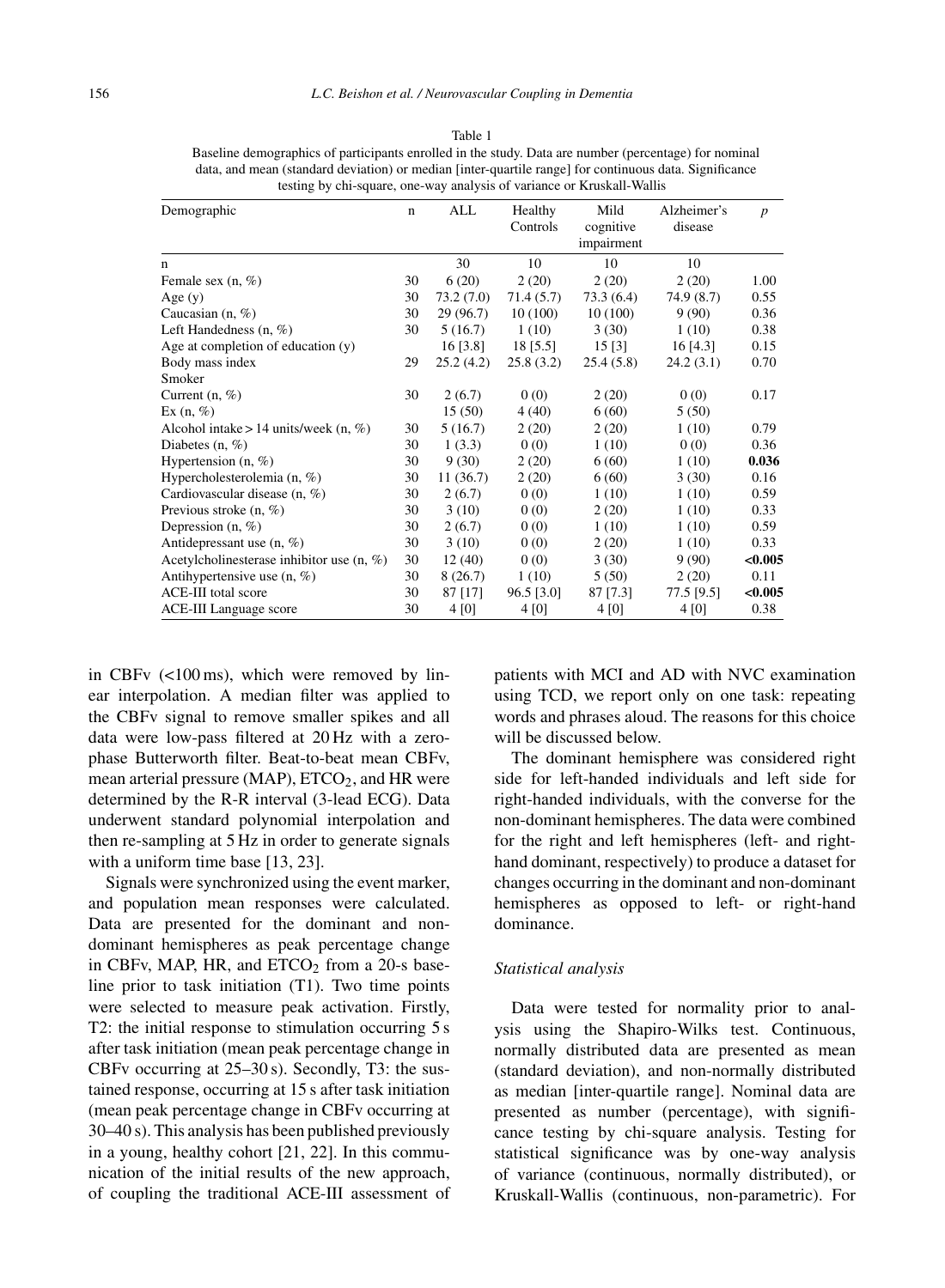| Demographic                                 | $\mathbf n$ | ALL        | Healthy      | Mild       | Alzheimer's | $\boldsymbol{p}$ |
|---------------------------------------------|-------------|------------|--------------|------------|-------------|------------------|
|                                             |             |            | Controls     | cognitive  | disease     |                  |
|                                             |             |            |              | impairment |             |                  |
| n                                           |             | 30         | 10           | 10         | 10          |                  |
| Female sex $(n, \%)$                        | 30          | 6(20)      | 2(20)        | 2(20)      | 2(20)       | 1.00             |
| Age $(y)$                                   | 30          | 73.2(7.0)  | 71.4(5.7)    | 73.3 (6.4) | 74.9 (8.7)  | 0.55             |
| Caucasian $(n, \%)$                         | 30          | 29(96.7)   | 10(100)      | 10(100)    | 9(90)       | 0.36             |
| Left Handedness $(n, \% )$                  | 30          | 5(16.7)    | 1(10)        | 3(30)      | 1(10)       | 0.38             |
| Age at completion of education $(y)$        |             | $16$ [3.8] | $18$ [5.5]   | 15[3]      | $16$ [4.3]  | 0.15             |
| Body mass index                             | 29          | 25.2(4.2)  | 25.8(3.2)    | 25.4(5.8)  | 24.2(3.1)   | 0.70             |
| Smoker                                      |             |            |              |            |             |                  |
| Current $(n, \%)$                           | 30          | 2(6.7)     | 0(0)         | 2(20)      | 0(0)        | 0.17             |
| Ex $(n, \%)$                                |             | 15(50)     | 4(40)        | 6(60)      | 5(50)       |                  |
| Alcohol intake > 14 units/week $(n, %)$     | 30          | 5(16.7)    | 2(20)        | 2(20)      | 1(10)       | 0.79             |
| Diabetes $(n, %)$                           | 30          | 1(3.3)     | 0(0)         | 1(10)      | 0(0)        | 0.36             |
| Hypertension $(n, \%)$                      | 30          | 9(30)      | 2(20)        | 6(60)      | 1(10)       | 0.036            |
| Hypercholesterolemia $(n, \%)$              | 30          | 11(36.7)   | 2(20)        | 6(60)      | 3(30)       | 0.16             |
| Cardiovascular disease $(n, \%)$            | 30          | 2(6.7)     | 0(0)         | 1(10)      | 1(10)       | 0.59             |
| Previous stroke $(n, %)$                    | 30          | 3(10)      | 0(0)         | 2(20)      | 1(10)       | 0.33             |
| Depression $(n, \%)$                        | 30          | 2(6.7)     | 0(0)         | 1(10)      | 1(10)       | 0.59             |
| Antidepressant use $(n, \%)$                | 30          | 3(10)      | 0(0)         | 2(20)      | 1(10)       | 0.33             |
| Acetylcholinesterase inhibitor use $(n, %)$ | 30          | 12(40)     | 0(0)         | 3(30)      | 9(90)       | < 0.005          |
| Antihypertensive use $(n, \%)$              | 30          | 8(26.7)    | 1(10)        | 5(50)      | 2(20)       | 0.11             |
| ACE-III total score                         | 30          | 87 [17]    | $96.5$ [3.0] | 87 [7.3]   | 77.5 [9.5]  | < 0.005          |
| ACE-III Language score                      | 30          | 4 [0]      | 4 [0]        | 4 [0]      | 4 [0]       | 0.38             |

Baseline demographics of participants enrolled in the study. Data are number (percentage) for nominal data, and mean (standard deviation) or median [inter-quartile range] for continuous data. Significance testing by chi-square, one-way analysis of variance or Kruskall-Wallis

in CBFv (<100 ms), which were removed by linear interpolation. A median filter was applied to the CBFv signal to remove smaller spikes and all data were low-pass filtered at 20 Hz with a zerophase Butterworth filter. Beat-to-beat mean CBFv, mean arterial pressure (MAP),  $ETCO<sub>2</sub>$ , and HR were determined by the R-R interval (3-lead ECG). Data underwent standard polynomial interpolation and then re-sampling at 5 Hz in order to generate signals with a uniform time base [13, 23].

Signals were synchronized using the event marker, and population mean responses were calculated. Data are presented for the dominant and nondominant hemispheres as peak percentage change in CBFv, MAP, HR, and  $ETCO<sub>2</sub>$  from a 20-s baseline prior to task initiation (T1). Two time points were selected to measure peak activation. Firstly, T2: the initial response to stimulation occurring 5 s after task initiation (mean peak percentage change in CBFv occurring at 25–30 s). Secondly, T3: the sustained response, occurring at 15 s after task initiation (mean peak percentage change in CBFv occurring at 30–40 s). This analysis has been published previously in a young, healthy cohort [21, 22]. In this communication of the initial results of the new approach, of coupling the traditional ACE-III assessment of patients with MCI and AD with NVC examination using TCD, we report only on one task: repeating words and phrases aloud. The reasons for this choice will be discussed below.

The dominant hemisphere was considered right side for left-handed individuals and left side for right-handed individuals, with the converse for the non-dominant hemispheres. The data were combined for the right and left hemispheres (left- and righthand dominant, respectively) to produce a dataset for changes occurring in the dominant and non-dominant hemispheres as opposed to left- or right-hand dominance.

#### *Statistical analysis*

Data were tested for normality prior to analysis using the Shapiro-Wilks test. Continuous, normally distributed data are presented as mean (standard deviation), and non-normally distributed as median [inter-quartile range]. Nominal data are presented as number (percentage), with significance testing by chi-square analysis. Testing for statistical significance was by one-way analysis of variance (continuous, normally distributed), or Kruskall-Wallis (continuous, non-parametric). For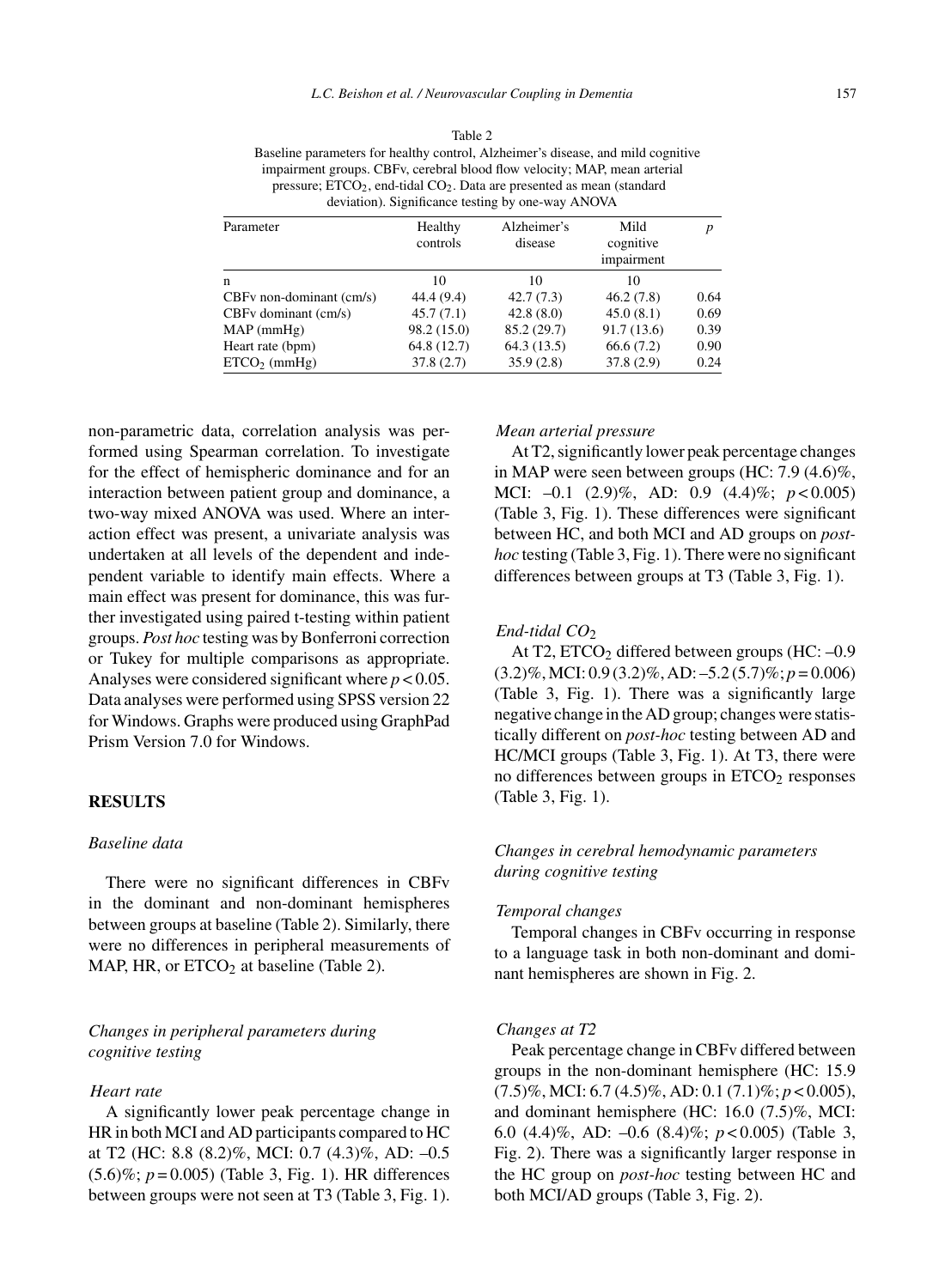Table 2 Baseline parameters for healthy control, Alzheimer's disease, and mild cognitive impairment groups. CBFv, cerebral blood flow velocity; MAP, mean arterial pressure; ETCO<sub>2</sub>, end-tidal CO<sub>2</sub>. Data are presented as mean (standard deviation). Significance testing by one-way ANOVA

| Parameter                | Healthy<br>controls | Alzheimer's<br>disease | Mild<br>cognitive<br>impairment | p    |
|--------------------------|---------------------|------------------------|---------------------------------|------|
| n                        | 10                  | 10                     | 10                              |      |
| CBFv non-dominant (cm/s) | 44.4 (9.4)          | 42.7(7.3)              | 46.2(7.8)                       | 0.64 |
| CBFv dominant (cm/s)     | 45.7(7.1)           | 42.8(8.0)              | 45.0(8.1)                       | 0.69 |
| MAP(mmHg)                | 98.2 (15.0)         | 85.2 (29.7)            | 91.7(13.6)                      | 0.39 |
| Heart rate (bpm)         | 64.8 (12.7)         | 64.3(13.5)             | 66.6(7.2)                       | 0.90 |
| $ETCO2$ (mmHg)           | 37.8(2.7)           | 35.9(2.8)              | 37.8(2.9)                       | 0.24 |

non-parametric data, correlation analysis was performed using Spearman correlation. To investigate for the effect of hemispheric dominance and for an interaction between patient group and dominance, a two-way mixed ANOVA was used. Where an interaction effect was present, a univariate analysis was undertaken at all levels of the dependent and independent variable to identify main effects. Where a main effect was present for dominance, this was further investigated using paired t-testing within patient groups. *Post hoc* testing was by Bonferroni correction or Tukey for multiple comparisons as appropriate. Analyses were considered significant where  $p < 0.05$ . Data analyses were performed using SPSS version 22 for Windows. Graphs were produced using GraphPad Prism Version 7.0 for Windows.

### **RESULTS**

### *Baseline data*

There were no significant differences in CBFv in the dominant and non-dominant hemispheres between groups at baseline (Table 2). Similarly, there were no differences in peripheral measurements of MAP, HR, or  $ETCO<sub>2</sub>$  at baseline (Table 2).

# *Changes in peripheral parameters during cognitive testing*

### *Heart rate*

A significantly lower peak percentage change in HR in both MCI and AD participants compared to HC at T2 (HC: 8.8 (8.2)%, MCI: 0.7 (4.3)%, AD: –0.5 (5.6)%; *p* = 0.005) (Table 3, Fig. 1). HR differences between groups were not seen at T3 (Table 3, Fig. 1).

#### *Mean arterial pressure*

At T2, significantly lower peak percentage changes in MAP were seen between groups (HC: 7.9 (4.6)%, MCI: –0.1 (2.9)%, AD: 0.9 (4.4)%; *p* < 0.005) (Table 3, Fig. 1). These differences were significant between HC, and both MCI and AD groups on *posthoc* testing (Table 3, Fig. 1). There were no significant differences between groups at T3 (Table 3, Fig. 1).

### *End-tidal CO*<sup>2</sup>

At T2,  $ETCO<sub>2</sub>$  differed between groups (HC:  $-0.9$ ) (3.2)%, MCI: 0.9 (3.2)%, AD: –5.2 (5.7)%; *p* = 0.006) (Table 3, Fig. 1). There was a significantly large negative change in the AD group; changes were statistically different on *post-hoc* testing between AD and HC/MCI groups (Table 3, Fig. 1). At T3, there were no differences between groups in  $ETCO<sub>2</sub>$  responses (Table 3, Fig. 1).

## *Changes in cerebral hemodynamic parameters during cognitive testing*

#### *Temporal changes*

Temporal changes in CBFv occurring in response to a language task in both non-dominant and dominant hemispheres are shown in Fig. 2.

#### *Changes at T2*

Peak percentage change in CBFv differed between groups in the non-dominant hemisphere (HC: 15.9 (7.5)%, MCI: 6.7 (4.5)%, AD: 0.1 (7.1)%; *p* < 0.005), and dominant hemisphere (HC: 16.0 (7.5)%, MCI: 6.0 (4.4)%, AD: –0.6 (8.4)%; *p* < 0.005) (Table 3, Fig. 2). There was a significantly larger response in the HC group on *post-hoc* testing between HC and both MCI/AD groups (Table 3, Fig. 2).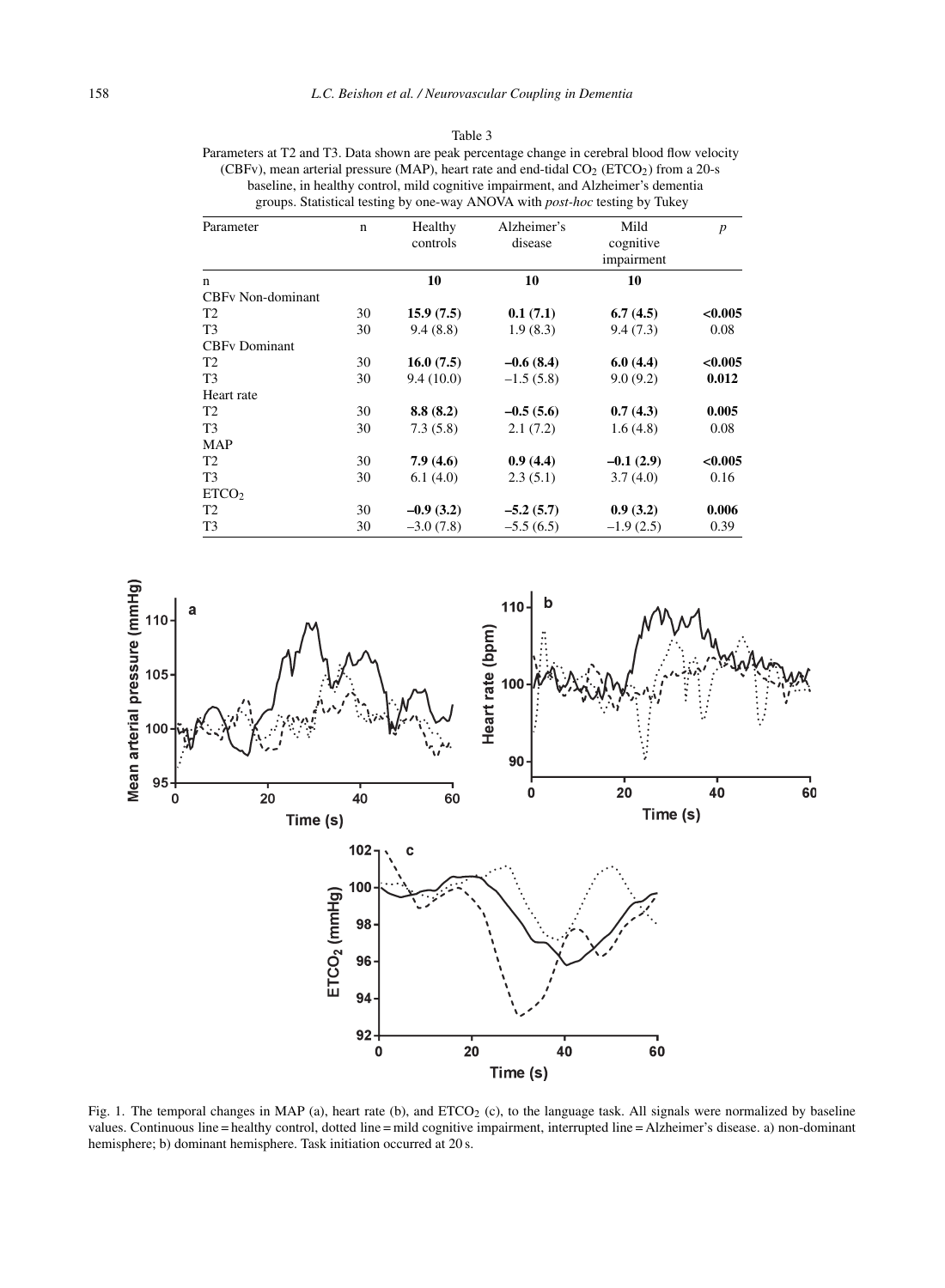Parameters at T2 and T3. Data shown are peak percentage change in cerebral blood flow velocity (CBFv), mean arterial pressure (MAP), heart rate and end-tidal  $CO<sub>2</sub>$  (ETCO<sub>2</sub>) from a 20-s baseline, in healthy control, mild cognitive impairment, and Alzheimer's dementia groups. Statistical testing by one-way ANOVA with *post-hoc* testing by Tukey

Table 3

| Parameter                | n  | Healthy     | Alzheimer's | Mild        | $\boldsymbol{p}$ |
|--------------------------|----|-------------|-------------|-------------|------------------|
|                          |    | controls    | disease     | cognitive   |                  |
|                          |    |             |             | impairment  |                  |
| n                        |    | 10          | 10          | 10          |                  |
| <b>CBFv Non-dominant</b> |    |             |             |             |                  |
| T2                       | 30 | 15.9(7.5)   | 0.1(7.1)    | 6.7(4.5)    | < 0.005          |
| T <sub>3</sub>           | 30 | 9.4(8.8)    | 1.9(8.3)    | 9.4(7.3)    | 0.08             |
| <b>CBFy Dominant</b>     |    |             |             |             |                  |
| T <sub>2</sub>           | 30 | 16.0(7.5)   | $-0.6(8.4)$ | 6.0(4.4)    | < 0.005          |
| T <sub>3</sub>           | 30 | 9.4(10.0)   | $-1.5(5.8)$ | 9.0(9.2)    | 0.012            |
| Heart rate               |    |             |             |             |                  |
| T <sub>2</sub>           | 30 | 8.8(8.2)    | $-0.5(5.6)$ | 0.7(4.3)    | 0.005            |
| T <sub>3</sub>           | 30 | 7.3(5.8)    | 2.1(7.2)    | 1.6(4.8)    | 0.08             |
| <b>MAP</b>               |    |             |             |             |                  |
| T <sub>2</sub>           | 30 | 7.9(4.6)    | 0.9(4.4)    | $-0.1(2.9)$ | < 0.005          |
| T <sub>3</sub>           | 30 | 6.1(4.0)    | 2.3(5.1)    | 3.7(4.0)    | 0.16             |
| ETCO <sub>2</sub>        |    |             |             |             |                  |
| T <sub>2</sub>           | 30 | $-0.9(3.2)$ | $-5.2(5.7)$ | 0.9(3.2)    | 0.006            |
| T <sub>3</sub>           | 30 | $-3.0(7.8)$ | $-5.5(6.5)$ | $-1.9(2.5)$ | 0.39             |



Fig. 1. The temporal changes in MAP (a), heart rate (b), and ETCO<sub>2</sub> (c), to the language task. All signals were normalized by baseline values. Continuous line = healthy control, dotted line = mild cognitive impairment, interrupted line = Alzheimer's disease. a) non-dominant hemisphere; b) dominant hemisphere. Task initiation occurred at 20 s.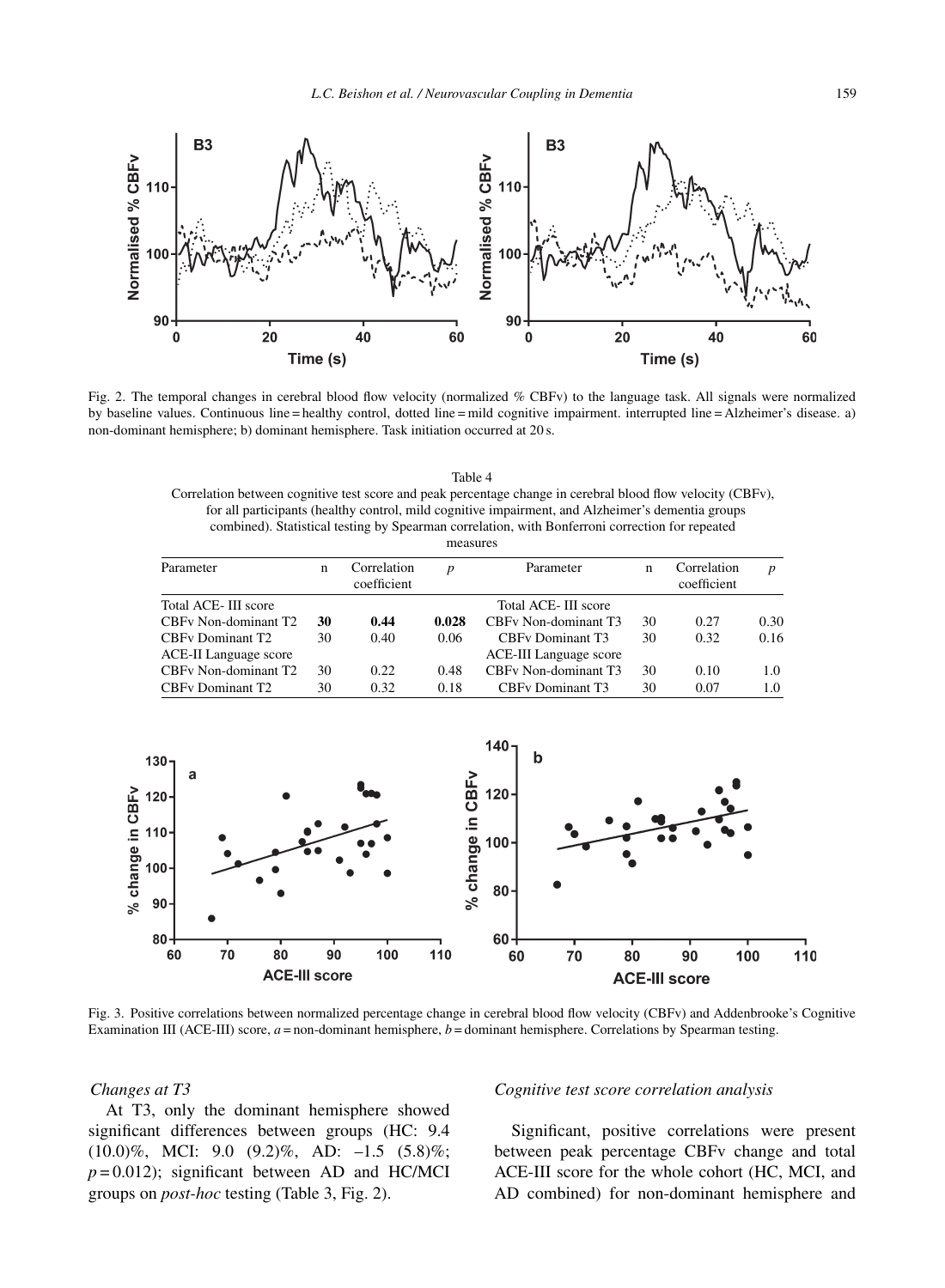

Fig. 2. The temporal changes in cerebral blood flow velocity (normalized % CBFv) to the language task. All signals were normalized by baseline values. Continuous line = healthy control, dotted line = mild cognitive impairment. interrupted line = Alzheimer's disease. a) non-dominant hemisphere; b) dominant hemisphere. Task initiation occurred at 20 s.

Table 4 Correlation between cognitive test score and peak percentage change in cerebral blood flow velocity (CBFv), for all participants (healthy control, mild cognitive impairment, and Alzheimer's dementia groups combined). Statistical testing by Spearman correlation, with Bonferroni correction for repeated measures

| Parameter               | n  | Correlation<br>coefficient | p     | Parameter                     | n  | Correlation<br>coefficient |      |
|-------------------------|----|----------------------------|-------|-------------------------------|----|----------------------------|------|
| Total ACE-III score     |    |                            |       | Total ACE-III score           |    |                            |      |
| CBFy Non-dominant T2    | 30 | 0.44                       | 0.028 | CBFy Non-dominant T3          | 30 | 0.27                       | 0.30 |
| <b>CBFy Dominant T2</b> | 30 | 0.40                       | 0.06  | CBFy Dominant T3              | 30 | 0.32                       | 0.16 |
| ACE-II Language score   |    |                            |       | <b>ACE-III Language score</b> |    |                            |      |
| CBFy Non-dominant T2    | 30 | 0.22                       | 0.48  | CBFy Non-dominant T3          | 30 | 0.10                       | 1.0  |
| <b>CBFy Dominant T2</b> | 30 | 0.32                       | 0.18  | CBFy Dominant T3              | 30 | 0.07                       | 1.0  |
|                         |    |                            |       |                               |    |                            |      |



Fig. 3. Positive correlations between normalized percentage change in cerebral blood flow velocity (CBFv) and Addenbrooke's Cognitive Examination III (ACE-III) score,  $a =$  non-dominant hemisphere,  $b =$  dominant hemisphere. Correlations by Spearman testing.

#### *Changes at T3*

At T3, only the dominant hemisphere showed significant differences between groups (HC: 9.4 (10.0)%, MCI: 9.0 (9.2)%, AD: –1.5 (5.8)%;  $p = 0.012$ ; significant between AD and HC/MCI groups on *post-hoc* testing (Table 3, Fig. 2).

#### *Cognitive test score correlation analysis*

Significant, positive correlations were present between peak percentage CBFv change and total ACE-III score for the whole cohort (HC, MCI, and AD combined) for non-dominant hemisphere and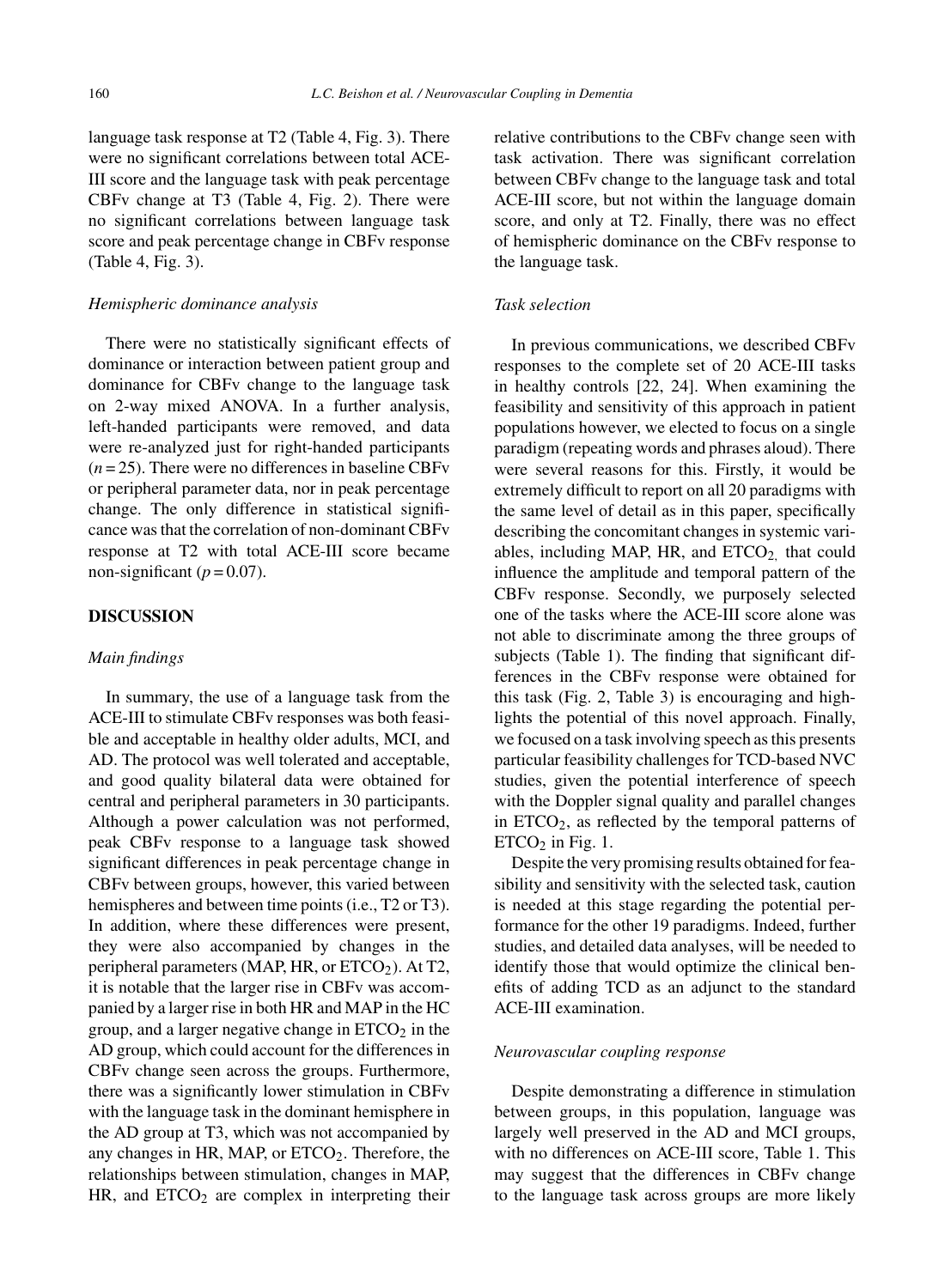language task response at T2 (Table 4, Fig. 3). There were no significant correlations between total ACE-III score and the language task with peak percentage CBFv change at T3 (Table 4, Fig. 2). There were no significant correlations between language task score and peak percentage change in CBFv response (Table 4, Fig. 3).

### *Hemispheric dominance analysis*

There were no statistically significant effects of dominance or interaction between patient group and dominance for CBFv change to the language task on 2-way mixed ANOVA. In a further analysis, left-handed participants were removed, and data were re-analyzed just for right-handed participants  $(n=25)$ . There were no differences in baseline CBFv or peripheral parameter data, nor in peak percentage change. The only difference in statistical significance was that the correlation of non-dominant CBFv response at T2 with total ACE-III score became non-significant  $(p=0.07)$ .

### **DISCUSSION**

### *Main findings*

In summary, the use of a language task from the ACE-III to stimulate CBFv responses was both feasible and acceptable in healthy older adults, MCI, and AD. The protocol was well tolerated and acceptable, and good quality bilateral data were obtained for central and peripheral parameters in 30 participants. Although a power calculation was not performed, peak CBFv response to a language task showed significant differences in peak percentage change in CBFv between groups, however, this varied between hemispheres and between time points (i.e., T2 or T3). In addition, where these differences were present, they were also accompanied by changes in the peripheral parameters (MAP, HR, or  $ETCO<sub>2</sub>$ ). At T2, it is notable that the larger rise in CBFv was accompanied by a larger rise in both HR and MAP in the HC group, and a larger negative change in  $ETCO<sub>2</sub>$  in the AD group, which could account for the differences in CBFv change seen across the groups. Furthermore, there was a significantly lower stimulation in CBFv with the language task in the dominant hemisphere in the AD group at T3, which was not accompanied by any changes in HR, MAP, or  $ETCO<sub>2</sub>$ . Therefore, the relationships between stimulation, changes in MAP,  $HR$ , and  $ETCO<sub>2</sub>$  are complex in interpreting their

relative contributions to the CBFv change seen with task activation. There was significant correlation between CBFv change to the language task and total ACE-III score, but not within the language domain score, and only at T2. Finally, there was no effect of hemispheric dominance on the CBFv response to the language task.

### *Task selection*

In previous communications, we described CBFv responses to the complete set of 20 ACE-III tasks in healthy controls [22, 24]. When examining the feasibility and sensitivity of this approach in patient populations however, we elected to focus on a single paradigm (repeating words and phrases aloud). There were several reasons for this. Firstly, it would be extremely difficult to report on all 20 paradigms with the same level of detail as in this paper, specifically describing the concomitant changes in systemic variables, including MAP, HR, and  $ETCO<sub>2</sub>$  that could influence the amplitude and temporal pattern of the CBFv response. Secondly, we purposely selected one of the tasks where the ACE-III score alone was not able to discriminate among the three groups of subjects (Table 1). The finding that significant differences in the CBFv response were obtained for this task (Fig. 2, Table 3) is encouraging and highlights the potential of this novel approach. Finally, we focused on a task involving speech as this presents particular feasibility challenges for TCD-based NVC studies, given the potential interference of speech with the Doppler signal quality and parallel changes in  $ETCO<sub>2</sub>$ , as reflected by the temporal patterns of  $ETCO<sub>2</sub>$  in Fig. 1.

Despite the very promising results obtained for feasibility and sensitivity with the selected task, caution is needed at this stage regarding the potential performance for the other 19 paradigms. Indeed, further studies, and detailed data analyses, will be needed to identify those that would optimize the clinical benefits of adding TCD as an adjunct to the standard ACE-III examination.

### *Neurovascular coupling response*

Despite demonstrating a difference in stimulation between groups, in this population, language was largely well preserved in the AD and MCI groups, with no differences on ACE-III score, Table 1. This may suggest that the differences in CBFv change to the language task across groups are more likely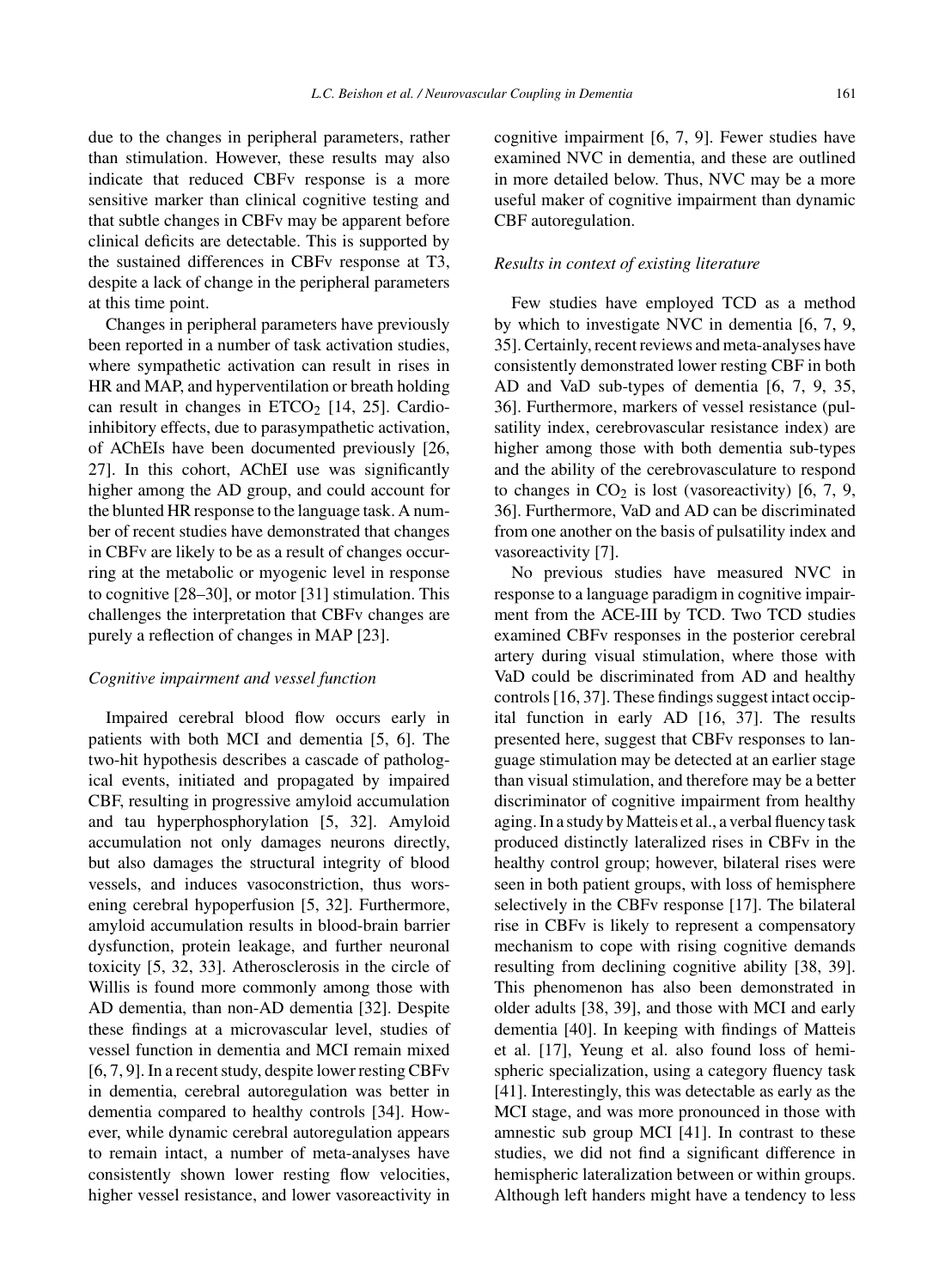due to the changes in peripheral parameters, rather than stimulation. However, these results may also indicate that reduced CBFv response is a more sensitive marker than clinical cognitive testing and that subtle changes in CBFv may be apparent before clinical deficits are detectable. This is supported by the sustained differences in CBFv response at T3, despite a lack of change in the peripheral parameters at this time point.

Changes in peripheral parameters have previously been reported in a number of task activation studies, where sympathetic activation can result in rises in HR and MAP, and hyperventilation or breath holding can result in changes in  $ETCO<sub>2</sub>$  [14, 25]. Cardioinhibitory effects, due to parasympathetic activation, of AChEIs have been documented previously [26, 27]. In this cohort, AChEI use was significantly higher among the AD group, and could account for the blunted HR response to the language task. A number of recent studies have demonstrated that changes in CBFv are likely to be as a result of changes occurring at the metabolic or myogenic level in response to cognitive [28–30], or motor [31] stimulation. This challenges the interpretation that CBFv changes are purely a reflection of changes in MAP [23].

### *Cognitive impairment and vessel function*

Impaired cerebral blood flow occurs early in patients with both MCI and dementia [5, 6]. The two-hit hypothesis describes a cascade of pathological events, initiated and propagated by impaired CBF, resulting in progressive amyloid accumulation and tau hyperphosphorylation [5, 32]. Amyloid accumulation not only damages neurons directly, but also damages the structural integrity of blood vessels, and induces vasoconstriction, thus worsening cerebral hypoperfusion [5, 32]. Furthermore, amyloid accumulation results in blood-brain barrier dysfunction, protein leakage, and further neuronal toxicity [5, 32, 33]. Atherosclerosis in the circle of Willis is found more commonly among those with AD dementia, than non-AD dementia [32]. Despite these findings at a microvascular level, studies of vessel function in dementia and MCI remain mixed [6, 7, 9]. In a recent study, despite lower resting CBFv in dementia, cerebral autoregulation was better in dementia compared to healthy controls [34]. However, while dynamic cerebral autoregulation appears to remain intact, a number of meta-analyses have consistently shown lower resting flow velocities, higher vessel resistance, and lower vasoreactivity in

cognitive impairment [6, 7, 9]. Fewer studies have examined NVC in dementia, and these are outlined in more detailed below. Thus, NVC may be a more useful maker of cognitive impairment than dynamic CBF autoregulation.

### *Results in context of existing literature*

Few studies have employed TCD as a method by which to investigate NVC in dementia [6, 7, 9, 35]. Certainly, recent reviews and meta-analyses have consistently demonstrated lower resting CBF in both AD and VaD sub-types of dementia [6, 7, 9, 35, 36]. Furthermore, markers of vessel resistance (pulsatility index, cerebrovascular resistance index) are higher among those with both dementia sub-types and the ability of the cerebrovasculature to respond to changes in  $CO<sub>2</sub>$  is lost (vasoreactivity) [6, 7, 9, 36]. Furthermore, VaD and AD can be discriminated from one another on the basis of pulsatility index and vasoreactivity [7].

No previous studies have measured NVC in response to a language paradigm in cognitive impairment from the ACE-III by TCD. Two TCD studies examined CBFv responses in the posterior cerebral artery during visual stimulation, where those with VaD could be discriminated from AD and healthy controls [16, 37]. These findings suggest intact occipital function in early AD [16, 37]. The results presented here, suggest that CBFv responses to language stimulation may be detected at an earlier stage than visual stimulation, and therefore may be a better discriminator of cognitive impairment from healthy aging. In a study by Matteis et al., a verbal fluency task produced distinctly lateralized rises in CBFv in the healthy control group; however, bilateral rises were seen in both patient groups, with loss of hemisphere selectively in the CBFv response [17]. The bilateral rise in CBFv is likely to represent a compensatory mechanism to cope with rising cognitive demands resulting from declining cognitive ability [38, 39]. This phenomenon has also been demonstrated in older adults [38, 39], and those with MCI and early dementia [40]. In keeping with findings of Matteis et al. [17], Yeung et al. also found loss of hemispheric specialization, using a category fluency task [41]. Interestingly, this was detectable as early as the MCI stage, and was more pronounced in those with amnestic sub group MCI [41]. In contrast to these studies, we did not find a significant difference in hemispheric lateralization between or within groups. Although left handers might have a tendency to less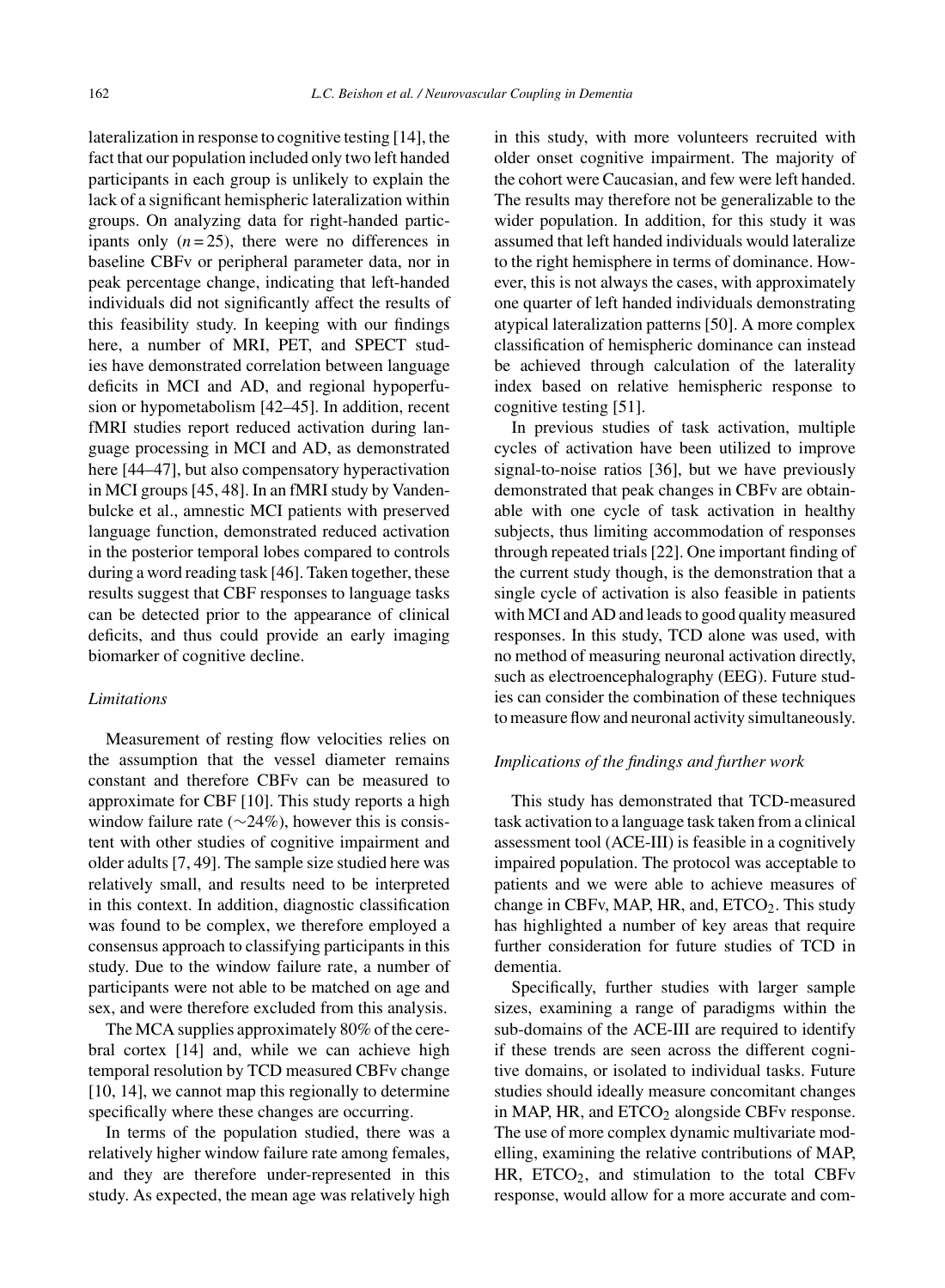lateralization in response to cognitive testing [14], the fact that our population included only two left handed participants in each group is unlikely to explain the lack of a significant hemispheric lateralization within groups. On analyzing data for right-handed participants only  $(n=25)$ , there were no differences in baseline CBFv or peripheral parameter data, nor in peak percentage change, indicating that left-handed individuals did not significantly affect the results of this feasibility study. In keeping with our findings here, a number of MRI, PET, and SPECT studies have demonstrated correlation between language deficits in MCI and AD, and regional hypoperfusion or hypometabolism [42–45]. In addition, recent fMRI studies report reduced activation during language processing in MCI and AD, as demonstrated here [44–47], but also compensatory hyperactivation in MCI groups [45, 48]. In an fMRI study by Vandenbulcke et al., amnestic MCI patients with preserved language function, demonstrated reduced activation in the posterior temporal lobes compared to controls during a word reading task [46]. Taken together, these results suggest that CBF responses to language tasks can be detected prior to the appearance of clinical deficits, and thus could provide an early imaging biomarker of cognitive decline.

#### *Limitations*

Measurement of resting flow velocities relies on the assumption that the vessel diameter remains constant and therefore CBFv can be measured to approximate for CBF [10]. This study reports a high window failure rate (∼24%), however this is consistent with other studies of cognitive impairment and older adults [7, 49]. The sample size studied here was relatively small, and results need to be interpreted in this context. In addition, diagnostic classification was found to be complex, we therefore employed a consensus approach to classifying participants in this study. Due to the window failure rate, a number of participants were not able to be matched on age and sex, and were therefore excluded from this analysis.

The MCA supplies approximately 80% of the cerebral cortex [14] and, while we can achieve high temporal resolution by TCD measured CBFv change [10, 14], we cannot map this regionally to determine specifically where these changes are occurring.

In terms of the population studied, there was a relatively higher window failure rate among females, and they are therefore under-represented in this study. As expected, the mean age was relatively high

in this study, with more volunteers recruited with older onset cognitive impairment. The majority of the cohort were Caucasian, and few were left handed. The results may therefore not be generalizable to the wider population. In addition, for this study it was assumed that left handed individuals would lateralize to the right hemisphere in terms of dominance. However, this is not always the cases, with approximately one quarter of left handed individuals demonstrating atypical lateralization patterns [50]. A more complex classification of hemispheric dominance can instead be achieved through calculation of the laterality index based on relative hemispheric response to cognitive testing [51].

In previous studies of task activation, multiple cycles of activation have been utilized to improve signal-to-noise ratios [36], but we have previously demonstrated that peak changes in CBFv are obtainable with one cycle of task activation in healthy subjects, thus limiting accommodation of responses through repeated trials [22]. One important finding of the current study though, is the demonstration that a single cycle of activation is also feasible in patients with MCI and AD and leads to good quality measured responses. In this study, TCD alone was used, with no method of measuring neuronal activation directly, such as electroencephalography (EEG). Future studies can consider the combination of these techniques to measure flow and neuronal activity simultaneously.

### *Implications of the findings and further work*

This study has demonstrated that TCD-measured task activation to a language task taken from a clinical assessment tool (ACE-III) is feasible in a cognitively impaired population. The protocol was acceptable to patients and we were able to achieve measures of change in CBFv, MAP, HR, and,  $ETCO<sub>2</sub>$ . This study has highlighted a number of key areas that require further consideration for future studies of TCD in dementia.

Specifically, further studies with larger sample sizes, examining a range of paradigms within the sub-domains of the ACE-III are required to identify if these trends are seen across the different cognitive domains, or isolated to individual tasks. Future studies should ideally measure concomitant changes in MAP, HR, and  $ETCO<sub>2</sub>$  alongside CBFv response. The use of more complex dynamic multivariate modelling, examining the relative contributions of MAP, HR,  $ETCO<sub>2</sub>$ , and stimulation to the total CBFv response, would allow for a more accurate and com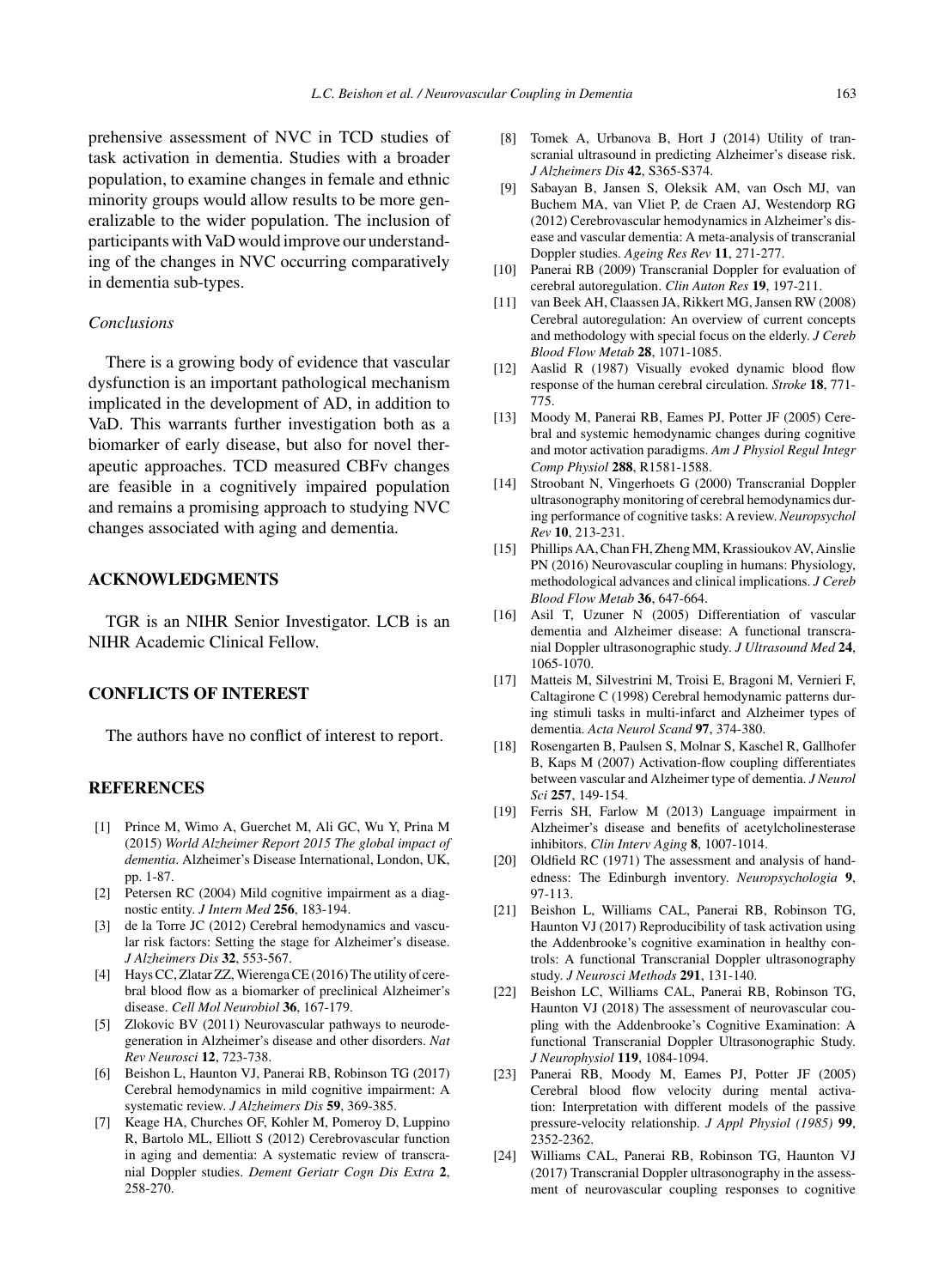prehensive assessment of NVC in TCD studies of task activation in dementia. Studies with a broader population, to examine changes in female and ethnic minority groups would allow results to be more generalizable to the wider population. The inclusion of participants with VaD would improve our understanding of the changes in NVC occurring comparatively in dementia sub-types.

### *Conclusions*

There is a growing body of evidence that vascular dysfunction is an important pathological mechanism implicated in the development of AD, in addition to VaD. This warrants further investigation both as a biomarker of early disease, but also for novel therapeutic approaches. TCD measured CBFv changes are feasible in a cognitively impaired population and remains a promising approach to studying NVC changes associated with aging and dementia.

## **ACKNOWLEDGMENTS**

TGR is an NIHR Senior Investigator. LCB is an NIHR Academic Clinical Fellow.

# **CONFLICTS OF INTEREST**

The authors have no conflict of interest to report.

### **REFERENCES**

- [1] Prince M, Wimo A, Guerchet M, Ali GC, Wu Y, Prina M (2015) *World Alzheimer Report 2015 The global impact of dementia*. Alzheimer's Disease International, London, UK, pp. 1-87.
- [2] Petersen RC (2004) Mild cognitive impairment as a diagnostic entity. *J Intern Med* **256**, 183-194.
- [3] de la Torre JC (2012) Cerebral hemodynamics and vascular risk factors: Setting the stage for Alzheimer's disease. *J Alzheimers Dis* **32**, 553-567.
- [4] Hays CC, Zlatar ZZ, Wierenga CE (2016) The utility of cerebral blood flow as a biomarker of preclinical Alzheimer's disease. *Cell Mol Neurobiol* **36**, 167-179.
- [5] Zlokovic BV (2011) Neurovascular pathways to neurodegeneration in Alzheimer's disease and other disorders. *Nat Rev Neurosci* **12**, 723-738.
- [6] Beishon L, Haunton VJ, Panerai RB, Robinson TG (2017) Cerebral hemodynamics in mild cognitive impairment: A systematic review. *J Alzheimers Dis* **59**, 369-385.
- [7] Keage HA, Churches OF, Kohler M, Pomeroy D, Luppino R, Bartolo ML, Elliott S (2012) Cerebrovascular function in aging and dementia: A systematic review of transcranial Doppler studies. *Dement Geriatr Cogn Dis Extra* **2**, 258-270.
- [8] Tomek A, Urbanova B, Hort J (2014) Utility of transcranial ultrasound in predicting Alzheimer's disease risk. *J Alzheimers Dis* **42**, S365-S374.
- [9] Sabayan B, Jansen S, Oleksik AM, van Osch MJ, van Buchem MA, van Vliet P, de Craen AJ, Westendorp RG (2012) Cerebrovascular hemodynamics in Alzheimer's disease and vascular dementia: A meta-analysis of transcranial Doppler studies. *Ageing Res Rev* **11**, 271-277.
- [10] Panerai RB (2009) Transcranial Doppler for evaluation of cerebral autoregulation. *Clin Auton Res* **19**, 197-211.
- [11] van Beek AH, Claassen JA, Rikkert MG, Jansen RW (2008) Cerebral autoregulation: An overview of current concepts and methodology with special focus on the elderly. *J Cereb Blood Flow Metab* **28**, 1071-1085.
- [12] Aaslid R (1987) Visually evoked dynamic blood flow response of the human cerebral circulation. *Stroke* **18**, 771- 775.
- [13] Moody M, Panerai RB, Eames PJ, Potter JF (2005) Cerebral and systemic hemodynamic changes during cognitive and motor activation paradigms. *Am J Physiol Regul Integr Comp Physiol* **288**, R1581-1588.
- [14] Stroobant N, Vingerhoets G (2000) Transcranial Doppler ultrasonography monitoring of cerebral hemodynamics during performance of cognitive tasks: A review. *Neuropsychol Rev* **10**, 213-231.
- [15] Phillips AA, Chan FH, Zheng MM, Krassioukov AV, Ainslie PN (2016) Neurovascular coupling in humans: Physiology, methodological advances and clinical implications. *J Cereb Blood Flow Metab* **36**, 647-664.
- [16] Asil T, Uzuner N (2005) Differentiation of vascular dementia and Alzheimer disease: A functional transcranial Doppler ultrasonographic study. *J Ultrasound Med* **24**, 1065-1070.
- [17] Matteis M, Silvestrini M, Troisi E, Bragoni M, Vernieri F, Caltagirone C (1998) Cerebral hemodynamic patterns during stimuli tasks in multi-infarct and Alzheimer types of dementia. *Acta Neurol Scand* **97**, 374-380.
- [18] Rosengarten B, Paulsen S, Molnar S, Kaschel R, Gallhofer B, Kaps M (2007) Activation-flow coupling differentiates between vascular and Alzheimer type of dementia. *J Neurol Sci* **257**, 149-154.
- [19] Ferris SH, Farlow M (2013) Language impairment in Alzheimer's disease and benefits of acetylcholinesterase inhibitors. *Clin Interv Aging* **8**, 1007-1014.
- [20] Oldfield RC (1971) The assessment and analysis of handedness: The Edinburgh inventory. *Neuropsychologia* **9**, 97-113.
- [21] Beishon L, Williams CAL, Panerai RB, Robinson TG, Haunton VJ (2017) Reproducibility of task activation using the Addenbrooke's cognitive examination in healthy controls: A functional Transcranial Doppler ultrasonography study. *J Neurosci Methods* **291**, 131-140.
- [22] Beishon LC, Williams CAL, Panerai RB, Robinson TG, Haunton VJ (2018) The assessment of neurovascular coupling with the Addenbrooke's Cognitive Examination: A functional Transcranial Doppler Ultrasonographic Study. *J Neurophysiol* **119**, 1084-1094.
- [23] Panerai RB, Moody M, Eames PJ, Potter JF (2005) Cerebral blood flow velocity during mental activation: Interpretation with different models of the passive pressure-velocity relationship. *J Appl Physiol (1985)* **99**, 2352-2362.
- [24] Williams CAL, Panerai RB, Robinson TG, Haunton VJ (2017) Transcranial Doppler ultrasonography in the assessment of neurovascular coupling responses to cognitive